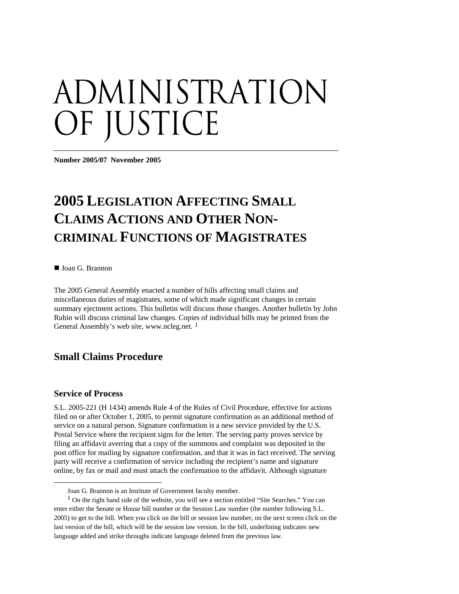# administration OF JUSTICE

**Number 2005/07 November 2005** 

# **2005 LEGISLATION AFFECTING SMALL CLAIMS ACTIONS AND OTHER NON-CRIMINAL FUNCTIONS OF MAGISTRATES**

■ Joan G. Brannon

The 2005 General Assembly enacted a number of bills affecting small claims and miscellaneous duties of magistrates, some of which made significant changes in certain summary ejectment actions. This bulletin will discuss those changes. Another bulletin by John Rubin will discuss criminal law changes. Copies of individual bills may be printed from the General Assembly's web site, www.ncleg.net.<sup>[1](#page-0-0)</sup>

# **Small Claims Procedure**

#### **Service of Process**

 $\overline{a}$ 

S.L. 2005-221 (H 1434) amends Rule 4 of the Rules of Civil Procedure, effective for actions filed on or after October 1, 2005, to permit signature confirmation as an additional method of service on a natural person. Signature confirmation is a new service provided by the U.S. Postal Service where the recipient signs for the letter. The serving party proves service by filing an affidavit averring that a copy of the summons and complaint was deposited in the post office for mailing by signature confirmation, and that it was in fact received. The serving party will receive a confirmation of service including the recipient's name and signature online, by fax or mail and must attach the confirmation to the affidavit. Although signature

Joan G. Brannon is an Institute of Government faculty member.

<span id="page-0-0"></span><sup>&</sup>lt;sup>1</sup> On the right hand side of the website, you will see a section entitled "Site Searches." You can enter either the Senate or House bill number or the Session Law number (the number following S.L. 2005) to get to the bill. When you click on the bill or session law number, on the next screen click on the last version of the bill, which will be the session law version. In the bill, underlining indicates new language added and strike throughs indicate language deleted from the previous law.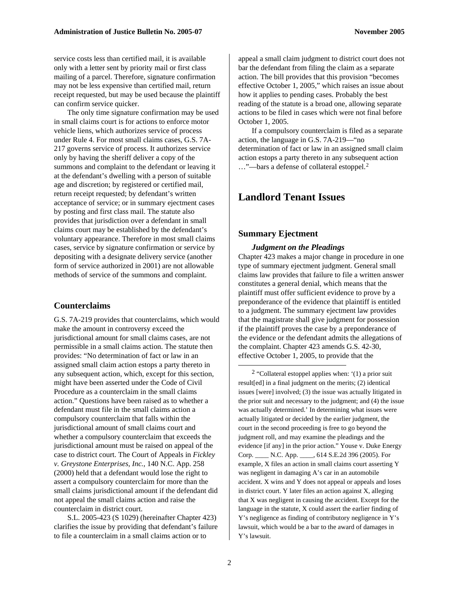service costs less than certified mail, it is available only with a letter sent by priority mail or first class mailing of a parcel. Therefore, signature confirmation may not be less expensive than certified mail, return receipt requested, but may be used because the plaintiff can confirm service quicker.

The only time signature confirmation may be used in small claims court is for actions to enforce motor vehicle liens, which authorizes service of process under Rule 4. For most small claims cases, G.S. 7A-217 governs service of process. It authorizes service only by having the sheriff deliver a copy of the summons and complaint to the defendant or leaving it at the defendant's dwelling with a person of suitable age and discretion; by registered or certified mail, return receipt requested; by defendant's written acceptance of service; or in summary ejectment cases by posting and first class mail. The statute also provides that jurisdiction over a defendant in small claims court may be established by the defendant's voluntary appearance. Therefore in most small claims cases, service by signature confirmation or service by depositing with a designate delivery service (another form of service authorized in 2001) are not allowable methods of service of the summons and complaint.

#### **Counterclaims**

<span id="page-1-0"></span>G.S. 7A-219 provides that counterclaims, which would make the amount in controversy exceed the jurisdictional amount for small claims cases, are not permissible in a small claims action. The statute then provides: "No determination of fact or law in an assigned small claim action estops a party thereto in any subsequent action, which, except for this section, might have been asserted under the Code of Civil Procedure as a counterclaim in the small claims action." Questions have been raised as to whether a defendant must file in the small claims action a compulsory counterclaim that falls within the jurisdictional amount of small claims court and whether a compulsory counterclaim that exceeds the jurisdictional amount must be raised on appeal of the case to district court. The Court of Appeals in *Fickley v. Greystone Enterprises, Inc.,* 140 N.C. App. 258 (2000) held that a defendant would lose the right to assert a compulsory counterclaim for more than the small claims jurisdictional amount if the defendant did not appeal the small claims action and raise the counterclaim in district court.

S.L. 2005-423 (S 1029) (hereinafter Chapter 423) clarifies the issue by providing that defendant's failure to file a counterclaim in a small claims action or to

appeal a small claim judgment to district court does not bar the defendant from filing the claim as a separate action. The bill provides that this provision "becomes effective October 1, 2005," which raises an issue about how it applies to pending cases. Probably the best reading of the statute is a broad one, allowing separate actions to be filed in cases which were not final before October 1, 2005.

If a compulsory counterclaim is filed as a separate action, the language in G.S. 7A-219—"no determination of fact or law in an assigned small claim action estops a party thereto in any subsequent action ..."—bars a defense of collateral estoppel.<sup>[2](#page-1-0)</sup>

# **Landlord Tenant Issues**

#### **Summary Ejectment**

#### *Judgment on the Pleadings*

Chapter 423 makes a major change in procedure in one type of summary ejectment judgment. General small claims law provides that failure to file a written answer constitutes a general denial, which means that the plaintiff must offer sufficient evidence to prove by a preponderance of the evidence that plaintiff is entitled to a judgment. The summary ejectment law provides that the magistrate shall give judgment for possession if the plaintiff proves the case by a preponderance of the evidence or the defendant admits the allegations of the complaint. Chapter 423 amends G.S. 42-30, effective October 1, 2005, to provide that the

<sup>2</sup> "Collateral estoppel applies when:  $(1)$  a prior suit result[ed] in a final judgment on the merits; (2) identical issues [were] involved; (3) the issue was actually litigated in the prior suit and necessary to the judgment; and (4) the issue was actually determined.' In determining what issues were actually litigated or decided by the earlier judgment, the court in the second proceeding is free to go beyond the judgment roll, and may examine the pleadings and the evidence [if any] in the prior action." Youse v. Duke Energy Corp. \_\_\_\_ N.C. App. \_\_\_\_, 614 S.E.2d 396 (2005). For example, X files an action in small claims court asserting Y was negligent in damaging A's car in an automobile accident. X wins and Y does not appeal or appeals and loses in district court. Y later files an action against X, alleging that X was negligent in causing the accident. Except for the language in the statute, X could assert the earlier finding of Y's negligence as finding of contributory negligence in Y's lawsuit, which would be a bar to the award of damages in Y's lawsuit.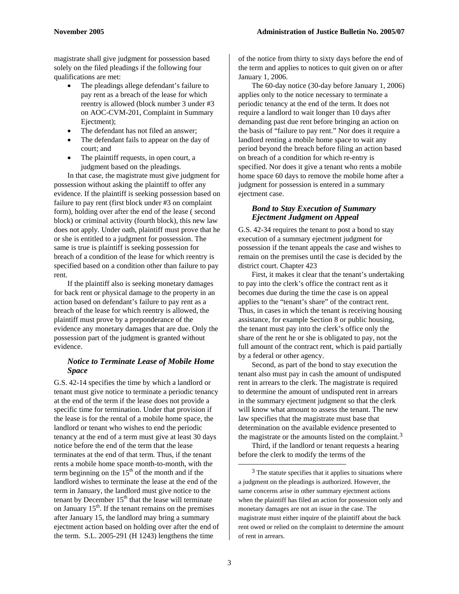magistrate shall give judgment for possession based solely on the filed pleadings if the following four qualifications are met:

- The pleadings allege defendant's failure to pay rent as a breach of the lease for which reentry is allowed (block number 3 under #3 on AOC-CVM-201, Complaint in Summary Ejectment);
- The defendant has not filed an answer;
- The defendant fails to appear on the day of court; and
- The plaintiff requests, in open court, a judgment based on the pleadings.

In that case, the magistrate must give judgment for possession without asking the plaintiff to offer any evidence. If the plaintiff is seeking possession based on failure to pay rent (first block under #3 on complaint form), holding over after the end of the lease ( second block) or criminal activity (fourth block), this new law does not apply. Under oath, plaintiff must prove that he or she is entitled to a judgment for possession. The same is true is plaintiff is seeking possession for breach of a condition of the lease for which reentry is specified based on a condition other than failure to pay rent.

If the plaintiff also is seeking monetary damages for back rent or physical damage to the property in an action based on defendant's failure to pay rent as a breach of the lease for which reentry is allowed, the plaintiff must prove by a preponderance of the evidence any monetary damages that are due. Only the possession part of the judgment is granted without evidence.

#### *Notice to Terminate Lease of Mobile Home Space*

<span id="page-2-0"></span>G.S. 42-14 specifies the time by which a landlord or tenant must give notice to terminate a periodic tenancy at the end of the term if the lease does not provide a specific time for termination. Under that provision if the lease is for the rental of a mobile home space, the landlord or tenant who wishes to end the periodic tenancy at the end of a term must give at least 30 days notice before the end of the term that the lease terminates at the end of that term. Thus, if the tenant rents a mobile home space month-to-month, with the term beginning on the  $15<sup>th</sup>$  of the month and if the landlord wishes to terminate the lease at the end of the term in January, the landlord must give notice to the tenant by December  $15<sup>th</sup>$  that the lease will terminate on January  $15<sup>th</sup>$ . If the tenant remains on the premises after January 15, the landlord may bring a summary ejectment action based on holding over after the end of the term. S.L. 2005-291 (H 1243) lengthens the time

of the notice from thirty to sixty days before the end of the term and applies to notices to quit given on or after January 1, 2006.

The 60-day notice (30-day before January 1, 2006) applies only to the notice necessary to terminate a periodic tenancy at the end of the term. It does not require a landlord to wait longer than 10 days after demanding past due rent before bringing an action on the basis of "failure to pay rent." Nor does it require a landlord renting a mobile home space to wait any period beyond the breach before filing an action based on breach of a condition for which re-entry is specified. Nor does it give a tenant who rents a mobile home space 60 days to remove the mobile home after a judgment for possession is entered in a summary ejectment case.

#### *Bond to Stay Execution of Summary Ejectment Judgment on Appeal*

G.S. 42-34 requires the tenant to post a bond to stay execution of a summary ejectment judgment for possession if the tenant appeals the case and wishes to remain on the premises until the case is decided by the district court. Chapter 423

First, it makes it clear that the tenant's undertaking to pay into the clerk's office the contract rent as it becomes due during the time the case is on appeal applies to the "tenant's share" of the contract rent. Thus, in cases in which the tenant is receiving housing assistance, for example Section 8 or public housing, the tenant must pay into the clerk's office only the share of the rent he or she is obligated to pay, not the full amount of the contract rent, which is paid partially by a federal or other agency.

Second, as part of the bond to stay execution the tenant also must pay in cash the amount of undisputed rent in arrears to the clerk. The magistrate is required to determine the amount of undisputed rent in arrears in the summary ejectment judgment so that the clerk will know what amount to assess the tenant. The new law specifies that the magistrate must base that determination on the available evidence presented to the magistrate or the amounts listed on the complaint.<sup>[3](#page-2-0)</sup>

Third, if the landlord or tenant requests a hearing before the clerk to modify the terms of the

<sup>&</sup>lt;sup>3</sup> The statute specifies that it applies to situations where a judgment on the pleadings is authorized. However, the same concerns arise in other summary ejectment actions when the plaintiff has filed an action for possession only and monetary damages are not an issue in the case. The magistrate must either inquire of the plaintiff about the back rent owed or relied on the complaint to determine the amount of rent in arrears.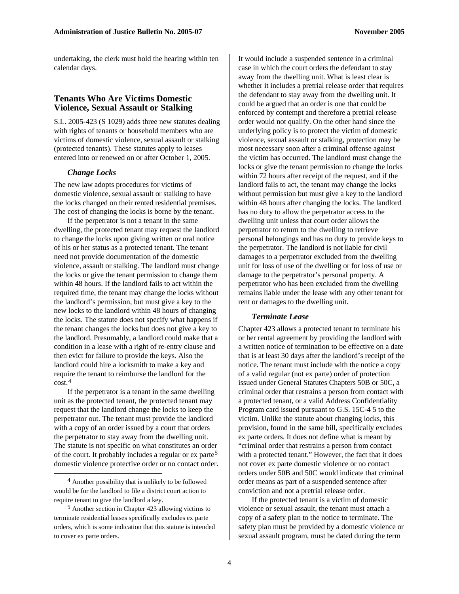undertaking, the clerk must hold the hearing within ten calendar days.

#### **Tenants Who Are Victims Domestic Violence, Sexual Assault or Stalking**

S.L. 2005-423 (S 1029) adds three new statutes dealing with rights of tenants or household members who are victims of domestic violence, sexual assault or stalking (protected tenants). These statutes apply to leases entered into or renewed on or after October 1, 2005.

#### *Change Locks*

The new law adopts procedures for victims of domestic violence, sexual assault or stalking to have the locks changed on their rented residential premises. The cost of changing the locks is borne by the tenant.

If the perpetrator is not a tenant in the same dwelling, the protected tenant may request the landlord to change the locks upon giving written or oral notice of his or her status as a protected tenant. The tenant need not provide documentation of the domestic violence, assault or stalking. The landlord must change the locks or give the tenant permission to change them within 48 hours. If the landlord fails to act within the required time, the tenant may change the locks without the landlord's permission, but must give a key to the new locks to the landlord within 48 hours of changing the locks. The statute does not specify what happens if the tenant changes the locks but does not give a key to the landlord. Presumably, a landlord could make that a condition in a lease with a right of re-entry clause and then evict for failure to provide the keys. Also the landlord could hire a locksmith to make a key and require the tenant to reimburse the landlord for the cost.[4](#page-3-0)

If the perpetrator is a tenant in the same dwelling unit as the protected tenant, the protected tenant may request that the landlord change the locks to keep the perpetrator out. The tenant must provide the landlord with a copy of an order issued by a court that orders the perpetrator to stay away from the dwelling unit. The statute is not specific on what constitutes an order of the court. It probably includes a regular or ex parte<sup>[5](#page-3-1)</sup> domestic violence protective order or no contact order.

It would include a suspended sentence in a criminal case in which the court orders the defendant to stay away from the dwelling unit. What is least clear is whether it includes a pretrial release order that requires the defendant to stay away from the dwelling unit. It could be argued that an order is one that could be enforced by contempt and therefore a pretrial release order would not qualify. On the other hand since the underlying policy is to protect the victim of domestic violence, sexual assault or stalking, protection may be most necessary soon after a criminal offense against the victim has occurred. The landlord must change the locks or give the tenant permission to change the locks within 72 hours after receipt of the request, and if the landlord fails to act, the tenant may change the locks without permission but must give a key to the landlord within 48 hours after changing the locks. The landlord has no duty to allow the perpetrator access to the dwelling unit unless that court order allows the perpetrator to return to the dwelling to retrieve personal belongings and has no duty to provide keys to the perpetrator. The landlord is not liable for civil damages to a perpetrator excluded from the dwelling unit for loss of use of the dwelling or for loss of use or damage to the perpetrator's personal property. A perpetrator who has been excluded from the dwelling remains liable under the lease with any other tenant for rent or damages to the dwelling unit.

#### *Terminate Lease*

Chapter 423 allows a protected tenant to terminate his or her rental agreement by providing the landlord with a written notice of termination to be effective on a date that is at least 30 days after the landlord's receipt of the notice. The tenant must include with the notice a copy of a valid regular (not ex parte) order of protection issued under General Statutes Chapters 50B or 50C, a criminal order that restrains a person from contact with a protected tenant, or a valid Address Confidentiality Program card issued pursuant to G.S. 15C-4 5 to the victim. Unlike the statute about changing locks, this provision, found in the same bill, specifically excludes ex parte orders. It does not define what is meant by "criminal order that restrains a person from contact with a protected tenant." However, the fact that it does not cover ex parte domestic violence or no contact orders under 50B and 50C would indicate that criminal order means as part of a suspended sentence after conviction and not a pretrial release order.

If the protected tenant is a victim of domestic violence or sexual assault, the tenant must attach a copy of a safety plan to the notice to terminate. The safety plan must be provided by a domestic violence or sexual assault program, must be dated during the term

<span id="page-3-0"></span> <sup>4</sup> Another possibility that is unlikely to be followed would be for the landlord to file a district court action to require tenant to give the landlord a key.

<span id="page-3-1"></span><sup>5</sup> Another section in Chapter 423 allowing victims to terminate residential leases specifically excludes ex parte orders, which is some indication that this statute is intended to cover ex parte orders.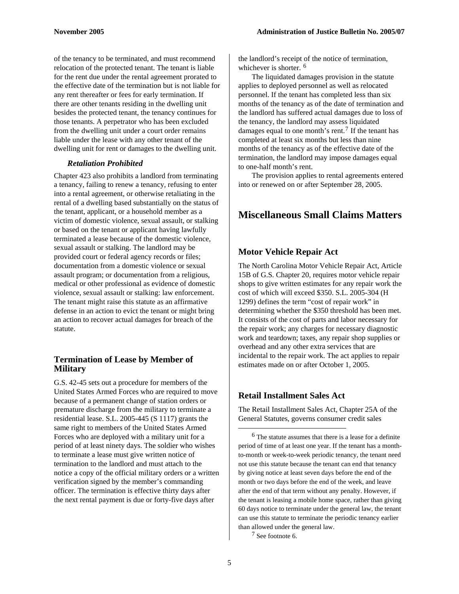of the tenancy to be terminated, and must recommend relocation of the protected tenant. The tenant is liable for the rent due under the rental agreement prorated to the effective date of the termination but is not liable for any rent thereafter or fees for early termination. If there are other tenants residing in the dwelling unit besides the protected tenant, the tenancy continues for those tenants. A perpetrator who has been excluded from the dwelling unit under a court order remains liable under the lease with any other tenant of the dwelling unit for rent or damages to the dwelling unit.

#### *Retaliation Prohibited*

Chapter 423 also prohibits a landlord from terminating a tenancy, failing to renew a tenancy, refusing to enter into a rental agreement, or otherwise retaliating in the rental of a dwelling based substantially on the status of the tenant, applicant, or a household member as a victim of domestic violence, sexual assault, or stalking or based on the tenant or applicant having lawfully terminated a lease because of the domestic violence, sexual assault or stalking. The landlord may be provided court or federal agency records or files; documentation from a domestic violence or sexual assault program; or documentation from a religious, medical or other professional as evidence of domestic violence, sexual assault or stalking: law enforcement. The tenant might raise this statute as an affirmative defense in an action to evict the tenant or might bring an action to recover actual damages for breach of the statute.

#### **Termination of Lease by Member of Military**

<span id="page-4-1"></span><span id="page-4-0"></span>G.S. 42-45 sets out a procedure for members of the United States Armed Forces who are required to move because of a permanent change of station orders or premature discharge from the military to terminate a residential lease. S.L. 2005-445 (S 1117) grants the same right to members of the United States Armed Forces who are deployed with a military unit for a period of at least ninety days. The soldier who wishes to terminate a lease must give written notice of termination to the landlord and must attach to the notice a copy of the official military orders or a written verification signed by the member's commanding officer. The termination is effective thirty days after the next rental payment is due or forty-five days after

the landlord's receipt of the notice of termination, whichever is shorter. <sup>[6](#page-4-0)</sup>

The liquidated damages provision in the statute applies to deployed personnel as well as relocated personnel. If the tenant has completed less than six months of the tenancy as of the date of termination and the landlord has suffered actual damages due to loss of the tenancy, the landlord may assess liquidated damages equal to one month's rent.<sup>[7](#page-4-1)</sup> If the tenant has completed at least six months but less than nine months of the tenancy as of the effective date of the termination, the landlord may impose damages equal to one-half month's rent.

The provision applies to rental agreements entered into or renewed on or after September 28, 2005.

# **Miscellaneous Small Claims Matters**

# **Motor Vehicle Repair Act**

The North Carolina Motor Vehicle Repair Act, Article 15B of G.S. Chapter 20, requires motor vehicle repair shops to give written estimates for any repair work the cost of which will exceed \$350. S.L. 2005-304 (H 1299) defines the term "cost of repair work" in determining whether the \$350 threshold has been met. It consists of the cost of parts and labor necessary for the repair work; any charges for necessary diagnostic work and teardown; taxes, any repair shop supplies or overhead and any other extra services that are incidental to the repair work. The act applies to repair estimates made on or after October 1, 2005.

## **Retail Installment Sales Act**

The Retail Installment Sales Act, Chapter 25A of the General Statutes, governs consumer credit sales

 6 The statute assumes that there is a lease for a definite period of time of at least one year. If the tenant has a monthto-month or week-to-week periodic tenancy, the tenant need not use this statute because the tenant can end that tenancy by giving notice at least seven days before the end of the month or two days before the end of the week, and leave after the end of that term without any penalty. However, if the tenant is leasing a mobile home space, rather than giving 60 days notice to terminate under the general law, the tenant can use this statute to terminate the periodic tenancy earlier than allowed under the general law.

7 See footnote 6.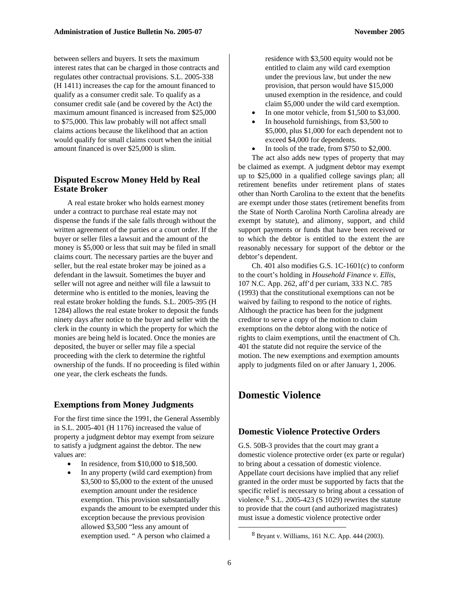between sellers and buyers. It sets the maximum interest rates that can be charged in those contracts and regulates other contractual provisions. S.L. 2005-338 (H 1411) increases the cap for the amount financed to qualify as a consumer credit sale. To qualify as a consumer credit sale (and be covered by the Act) the maximum amount financed is increased from \$25,000 to \$75,000. This law probably will not affect small claims actions because the likelihood that an action would qualify for small claims court when the initial amount financed is over \$25,000 is slim.

#### **Disputed Escrow Money Held by Real Estate Broker**

A real estate broker who holds earnest money under a contract to purchase real estate may not dispense the funds if the sale falls through without the written agreement of the parties or a court order. If the buyer or seller files a lawsuit and the amount of the money is \$5,000 or less that suit may be filed in small claims court. The necessary parties are the buyer and seller, but the real estate broker may be joined as a defendant in the lawsuit. Sometimes the buyer and seller will not agree and neither will file a lawsuit to determine who is entitled to the monies, leaving the real estate broker holding the funds. S.L. 2005-395 (H 1284) allows the real estate broker to deposit the funds ninety days after notice to the buyer and seller with the clerk in the county in which the property for which the monies are being held is located. Once the monies are deposited, the buyer or seller may file a special proceeding with the clerk to determine the rightful ownership of the funds. If no proceeding is filed within one year, the clerk escheats the funds.

#### **Exemptions from Money Judgments**

For the first time since the 1991, the General Assembly in S.L. 2005-401 (H 1176) increased the value of property a judgment debtor may exempt from seizure to satisfy a judgment against the debtor. The new values are:

- In residence, from \$10,000 to \$18,500.
- <span id="page-5-0"></span>• In any property (wild card exemption) from \$3,500 to \$5,000 to the extent of the unused exemption amount under the residence exemption. This provision substantially expands the amount to be exempted under this exception because the previous provision allowed \$3,500 "less any amount of exemption used. " A person who claimed a

residence with \$3,500 equity would not be entitled to claim any wild card exemption under the previous law, but under the new provision, that person would have \$15,000 unused exemption in the residence, and could claim \$5,000 under the wild card exemption.

- In one motor vehicle, from \$1,500 to \$3,000.
- In household furnishings, from \$3,500 to \$5,000, plus \$1,000 for each dependent not to exceed \$4,000 for dependents.
- In tools of the trade, from \$750 to \$2,000.

The act also adds new types of property that may be claimed as exempt. A judgment debtor may exempt up to \$25,000 in a qualified college savings plan; all retirement benefits under retirement plans of states other than North Carolina to the extent that the benefits are exempt under those states (retirement benefits from the State of North Carolina North Carolina already are exempt by statute), and alimony, support, and child support payments or funds that have been received or to which the debtor is entitled to the extent the are reasonably necessary for support of the debtor or the debtor's dependent.

Ch. 401 also modifies G.S. 1C-1601(c) to conform to the court's holding in *Household Finance v. Ellis*, 107 N.C. App. 262, aff'd per curiam, 333 N.C. 785 (1993) that the constitutional exemptions can not be waived by failing to respond to the notice of rights. Although the practice has been for the judgment creditor to serve a copy of the motion to claim exemptions on the debtor along with the notice of rights to claim exemptions, until the enactment of Ch. 401 the statute did not require the service of the motion. The new exemptions and exemption amounts apply to judgments filed on or after January 1, 2006.

## **Domestic Violence**

#### **Domestic Violence Protective Orders**

G.S. 50B-3 provides that the court may grant a domestic violence protective order (ex parte or regular) to bring about a cessation of domestic violence. Appellate court decisions have implied that any relief granted in the order must be supported by facts that the specific relief is necessary to bring about a cessation of violence. $8$  S.L. 2005-423 (S 1029) rewrites the statute to provide that the court (and authorized magistrates) must issue a domestic violence protective order

 <sup>8</sup> Bryant v. Williams, 161 N.C. App. 444 (2003).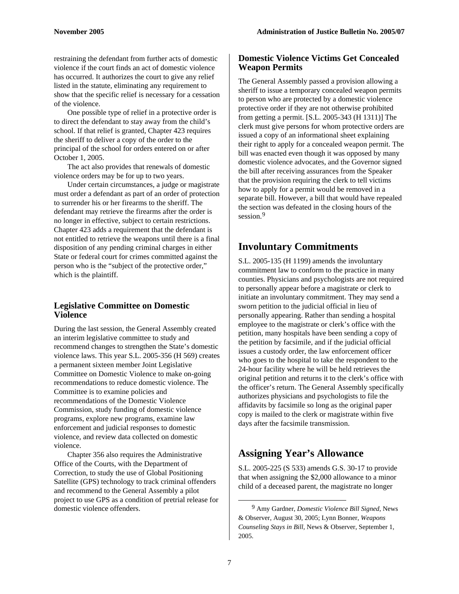restraining the defendant from further acts of domestic violence if the court finds an act of domestic violence has occurred. It authorizes the court to give any relief listed in the statute, eliminating any requirement to show that the specific relief is necessary for a cessation of the violence.

One possible type of relief in a protective order is to direct the defendant to stay away from the child's school. If that relief is granted, Chapter 423 requires the sheriff to deliver a copy of the order to the principal of the school for orders entered on or after October 1, 2005.

The act also provides that renewals of domestic violence orders may be for up to two years.

Under certain circumstances, a judge or magistrate must order a defendant as part of an order of protection to surrender his or her firearms to the sheriff. The defendant may retrieve the firearms after the order is no longer in effective, subject to certain restrictions. Chapter 423 adds a requirement that the defendant is not entitled to retrieve the weapons until there is a final disposition of any pending criminal charges in either State or federal court for crimes committed against the person who is the "subject of the protective order," which is the plaintiff.

#### **Legislative Committee on Domestic Violence**

During the last session, the General Assembly created an interim legislative committee to study and recommend changes to strengthen the State's domestic violence laws. This year S.L. 2005-356 (H 569) creates a permanent sixteen member Joint Legislative Committee on Domestic Violence to make on-going recommendations to reduce domestic violence. The Committee is to examine policies and recommendations of the Domestic Violence Commission, study funding of domestic violence programs, explore new programs, examine law enforcement and judicial responses to domestic violence, and review data collected on domestic violence.

<span id="page-6-0"></span>Chapter 356 also requires the Administrative Office of the Courts, with the Department of Correction, to study the use of Global Positioning Satellite (GPS) technology to track criminal offenders and recommend to the General Assembly a pilot project to use GPS as a condition of pretrial release for domestic violence offenders.

#### **Domestic Violence Victims Get Concealed Weapon Permits**

The General Assembly passed a provision allowing a sheriff to issue a temporary concealed weapon permits to person who are protected by a domestic violence protective order if they are not otherwise prohibited from getting a permit. [S.L. 2005-343 (H 1311)] The clerk must give persons for whom protective orders are issued a copy of an informational sheet explaining their right to apply for a concealed weapon permit. The bill was enacted even though it was opposed by many domestic violence advocates, and the Governor signed the bill after receiving assurances from the Speaker that the provision requiring the clerk to tell victims how to apply for a permit would be removed in a separate bill. However, a bill that would have repealed the section was defeated in the closing hours of the session.<sup>[9](#page-6-0)</sup>

# **Involuntary Commitments**

S.L. 2005-135 (H 1199) amends the involuntary commitment law to conform to the practice in many counties. Physicians and psychologists are not required to personally appear before a magistrate or clerk to initiate an involuntary commitment. They may send a sworn petition to the judicial official in lieu of personally appearing. Rather than sending a hospital employee to the magistrate or clerk's office with the petition, many hospitals have been sending a copy of the petition by facsimile, and if the judicial official issues a custody order, the law enforcement officer who goes to the hospital to take the respondent to the 24-hour facility where he will be held retrieves the original petition and returns it to the clerk's office with the officer's return. The General Assembly specifically authorizes physicians and psychologists to file the affidavits by facsimile so long as the original paper copy is mailed to the clerk or magistrate within five days after the facsimile transmission.

# **Assigning Year's Allowance**

S.L. 2005-225 (S 533) amends G.S. 30-17 to provide that when assigning the \$2,000 allowance to a minor child of a deceased parent, the magistrate no longer

 <sup>9</sup> Amy Gardner, *Domestic Violence Bill Signed,* News & Observer, August 30, 2005; Lynn Bonner, *Weapons Counseling Stays in Bill,* News & Observer, September 1, 2005.